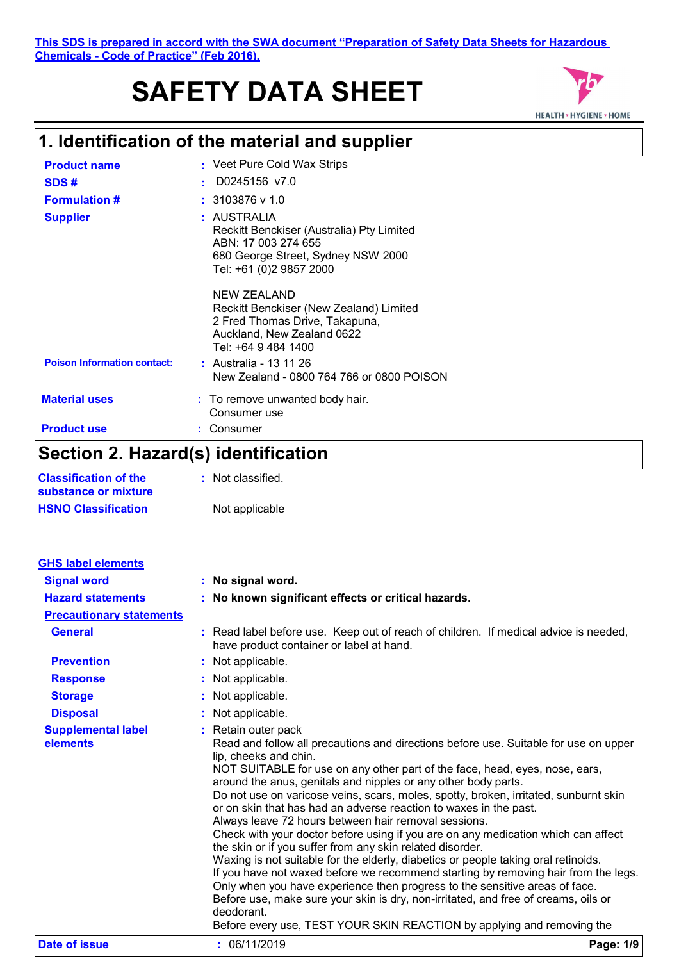# **SAFETY DATA SHEET**



## **1. Identification of the material and supplier**

| <b>Product name</b>                | : Veet Pure Cold Wax Strips                                                                                                                          |
|------------------------------------|------------------------------------------------------------------------------------------------------------------------------------------------------|
| SDS#                               | D0245156 v7.0                                                                                                                                        |
| <b>Formulation #</b>               | $: 3103876$ v 1.0                                                                                                                                    |
| <b>Supplier</b>                    | : AUSTRALIA<br>Reckitt Benckiser (Australia) Pty Limited<br>ABN: 17 003 274 655<br>680 George Street, Sydney NSW 2000<br>Tel: +61 (0)2 9857 2000     |
|                                    | <b>NEW ZEALAND</b><br>Reckitt Benckiser (New Zealand) Limited<br>2 Fred Thomas Drive, Takapuna,<br>Auckland, New Zealand 0622<br>Tel: +64 9 484 1400 |
| <b>Poison Information contact:</b> | : Australia - 13 11 26<br>New Zealand - 0800 764 766 or 0800 POISON                                                                                  |
| <b>Material uses</b>               | : To remove unwanted body hair.<br>Consumer use                                                                                                      |
| <b>Product use</b>                 | Consumer                                                                                                                                             |

### **Section 2. Hazard(s) identification**

| <b>Classification of the</b> | : Not classified. |
|------------------------------|-------------------|
| substance or mixture         |                   |
| <b>HSNO Classification</b>   | Not applicable    |

| <b>GHS label elements</b>             |                                                                                                                                                                                                                                                                                                                                                                                                                                                                                                                                                                                                                                                                                                                                                                                                                                                                                                                                                                                                                                                                                                       |           |
|---------------------------------------|-------------------------------------------------------------------------------------------------------------------------------------------------------------------------------------------------------------------------------------------------------------------------------------------------------------------------------------------------------------------------------------------------------------------------------------------------------------------------------------------------------------------------------------------------------------------------------------------------------------------------------------------------------------------------------------------------------------------------------------------------------------------------------------------------------------------------------------------------------------------------------------------------------------------------------------------------------------------------------------------------------------------------------------------------------------------------------------------------------|-----------|
| <b>Signal word</b>                    | : No signal word.                                                                                                                                                                                                                                                                                                                                                                                                                                                                                                                                                                                                                                                                                                                                                                                                                                                                                                                                                                                                                                                                                     |           |
| <b>Hazard statements</b>              | : No known significant effects or critical hazards.                                                                                                                                                                                                                                                                                                                                                                                                                                                                                                                                                                                                                                                                                                                                                                                                                                                                                                                                                                                                                                                   |           |
| <b>Precautionary statements</b>       |                                                                                                                                                                                                                                                                                                                                                                                                                                                                                                                                                                                                                                                                                                                                                                                                                                                                                                                                                                                                                                                                                                       |           |
| <b>General</b>                        | : Read label before use. Keep out of reach of children. If medical advice is needed,<br>have product container or label at hand.                                                                                                                                                                                                                                                                                                                                                                                                                                                                                                                                                                                                                                                                                                                                                                                                                                                                                                                                                                      |           |
| <b>Prevention</b>                     | : Not applicable.                                                                                                                                                                                                                                                                                                                                                                                                                                                                                                                                                                                                                                                                                                                                                                                                                                                                                                                                                                                                                                                                                     |           |
| <b>Response</b>                       | : Not applicable.                                                                                                                                                                                                                                                                                                                                                                                                                                                                                                                                                                                                                                                                                                                                                                                                                                                                                                                                                                                                                                                                                     |           |
| <b>Storage</b>                        | : Not applicable.                                                                                                                                                                                                                                                                                                                                                                                                                                                                                                                                                                                                                                                                                                                                                                                                                                                                                                                                                                                                                                                                                     |           |
| <b>Disposal</b>                       | : Not applicable.                                                                                                                                                                                                                                                                                                                                                                                                                                                                                                                                                                                                                                                                                                                                                                                                                                                                                                                                                                                                                                                                                     |           |
| <b>Supplemental label</b><br>elements | : Retain outer pack<br>Read and follow all precautions and directions before use. Suitable for use on upper<br>lip, cheeks and chin.<br>NOT SUITABLE for use on any other part of the face, head, eyes, nose, ears,<br>around the anus, genitals and nipples or any other body parts.<br>Do not use on varicose veins, scars, moles, spotty, broken, irritated, sunburnt skin<br>or on skin that has had an adverse reaction to waxes in the past.<br>Always leave 72 hours between hair removal sessions.<br>Check with your doctor before using if you are on any medication which can affect<br>the skin or if you suffer from any skin related disorder.<br>Waxing is not suitable for the elderly, diabetics or people taking oral retinoids.<br>If you have not waxed before we recommend starting by removing hair from the legs.<br>Only when you have experience then progress to the sensitive areas of face.<br>Before use, make sure your skin is dry, non-irritated, and free of creams, oils or<br>deodorant.<br>Before every use, TEST YOUR SKIN REACTION by applying and removing the |           |
| Date of issue                         | : 06/11/2019                                                                                                                                                                                                                                                                                                                                                                                                                                                                                                                                                                                                                                                                                                                                                                                                                                                                                                                                                                                                                                                                                          | Page: 1/9 |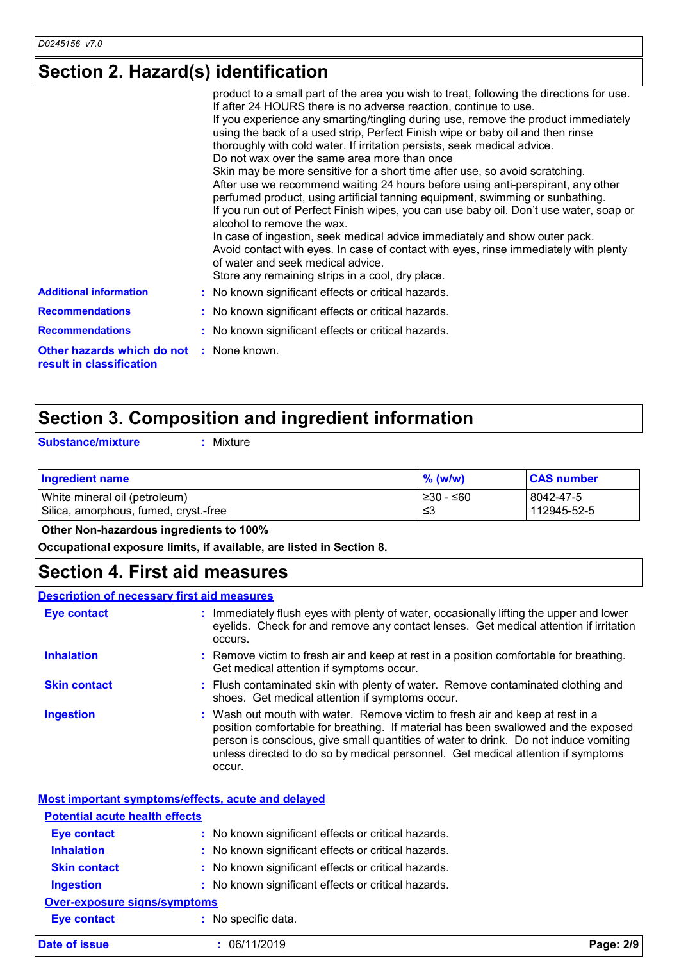### **Section 2. Hazard(s) identification**

| <b>Additional information</b><br><b>Recommendations</b>                     | product to a small part of the area you wish to treat, following the directions for use.<br>If after 24 HOURS there is no adverse reaction, continue to use.<br>If you experience any smarting/tingling during use, remove the product immediately<br>using the back of a used strip, Perfect Finish wipe or baby oil and then rinse<br>thoroughly with cold water. If irritation persists, seek medical advice.<br>Do not wax over the same area more than once<br>Skin may be more sensitive for a short time after use, so avoid scratching.<br>After use we recommend waiting 24 hours before using anti-perspirant, any other<br>perfumed product, using artificial tanning equipment, swimming or sunbathing.<br>If you run out of Perfect Finish wipes, you can use baby oil. Don't use water, soap or<br>alcohol to remove the wax.<br>In case of ingestion, seek medical advice immediately and show outer pack.<br>Avoid contact with eyes. In case of contact with eyes, rinse immediately with plenty<br>of water and seek medical advice.<br>Store any remaining strips in a cool, dry place.<br>: No known significant effects or critical hazards.<br>: No known significant effects or critical hazards. |
|-----------------------------------------------------------------------------|--------------------------------------------------------------------------------------------------------------------------------------------------------------------------------------------------------------------------------------------------------------------------------------------------------------------------------------------------------------------------------------------------------------------------------------------------------------------------------------------------------------------------------------------------------------------------------------------------------------------------------------------------------------------------------------------------------------------------------------------------------------------------------------------------------------------------------------------------------------------------------------------------------------------------------------------------------------------------------------------------------------------------------------------------------------------------------------------------------------------------------------------------------------------------------------------------------------------------|
|                                                                             |                                                                                                                                                                                                                                                                                                                                                                                                                                                                                                                                                                                                                                                                                                                                                                                                                                                                                                                                                                                                                                                                                                                                                                                                                          |
| <b>Recommendations</b>                                                      | : No known significant effects or critical hazards.                                                                                                                                                                                                                                                                                                                                                                                                                                                                                                                                                                                                                                                                                                                                                                                                                                                                                                                                                                                                                                                                                                                                                                      |
| <b>Other hazards which do not : None known.</b><br>result in classification |                                                                                                                                                                                                                                                                                                                                                                                                                                                                                                                                                                                                                                                                                                                                                                                                                                                                                                                                                                                                                                                                                                                                                                                                                          |

### **Section 3. Composition and ingredient information**

**Substance/mixture :**

: Mixture

| Ingredient name                       | $%$ (w/w)  | <b>CAS number</b> |
|---------------------------------------|------------|-------------------|
| White mineral oil (petroleum)         | l≥30 - ≤60 | 8042-47-5         |
| Silica, amorphous, fumed, cryst.-free | ≲3         | 112945-52-5       |

 **Other Non-hazardous ingredients to 100%**

**Occupational exposure limits, if available, are listed in Section 8.**

### **Section 4. First aid measures**

#### **Description of necessary first aid measures**

| <b>Eye contact</b>  | : Immediately flush eyes with plenty of water, occasionally lifting the upper and lower<br>eyelids. Check for and remove any contact lenses. Get medical attention if irritation<br>occurs.                                                                                                                                                               |
|---------------------|-----------------------------------------------------------------------------------------------------------------------------------------------------------------------------------------------------------------------------------------------------------------------------------------------------------------------------------------------------------|
| <b>Inhalation</b>   | : Remove victim to fresh air and keep at rest in a position comfortable for breathing.<br>Get medical attention if symptoms occur.                                                                                                                                                                                                                        |
| <b>Skin contact</b> | : Flush contaminated skin with plenty of water. Remove contaminated clothing and<br>shoes. Get medical attention if symptoms occur.                                                                                                                                                                                                                       |
| <b>Ingestion</b>    | : Wash out mouth with water. Remove victim to fresh air and keep at rest in a<br>position comfortable for breathing. If material has been swallowed and the exposed<br>person is conscious, give small quantities of water to drink. Do not induce vomiting<br>unless directed to do so by medical personnel. Get medical attention if symptoms<br>occur. |

|                                       | Most important symptoms/effects, acute and delayed  |           |
|---------------------------------------|-----------------------------------------------------|-----------|
| <b>Potential acute health effects</b> |                                                     |           |
| <b>Eye contact</b>                    | : No known significant effects or critical hazards. |           |
| <b>Inhalation</b>                     | : No known significant effects or critical hazards. |           |
| <b>Skin contact</b>                   | : No known significant effects or critical hazards. |           |
| <b>Ingestion</b>                      | : No known significant effects or critical hazards. |           |
| Over-exposure signs/symptoms          |                                                     |           |
| <b>Eye contact</b>                    | : No specific data.                                 |           |
| Date of issue                         | : 06/11/2019                                        | Page: 2/9 |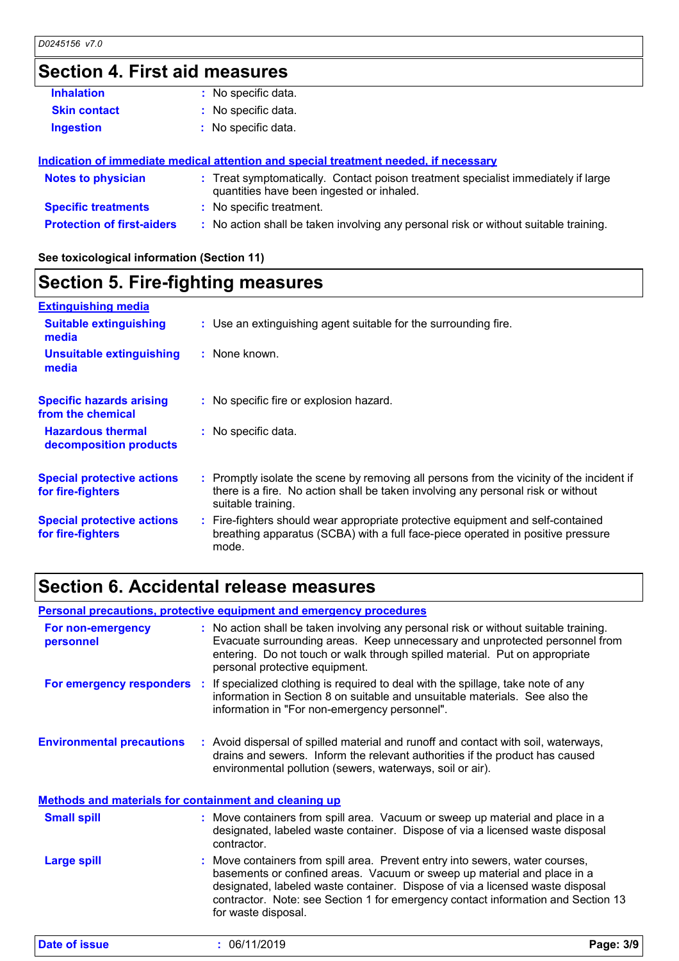## **Section 4. First aid measures**

| <b>Inhalation</b>                 | : No specific data.                                                                                                            |
|-----------------------------------|--------------------------------------------------------------------------------------------------------------------------------|
| <b>Skin contact</b>               | : No specific data.                                                                                                            |
| <b>Ingestion</b>                  | : No specific data.                                                                                                            |
|                                   | Indication of immediate medical attention and special treatment needed, if necessary                                           |
| <b>Notes to physician</b>         | : Treat symptomatically. Contact poison treatment specialist immediately if large<br>quantities have been ingested or inhaled. |
| <b>Specific treatments</b>        | : No specific treatment.                                                                                                       |
| <b>Protection of first-aiders</b> | : No action shall be taken involving any personal risk or without suitable training.                                           |

**See toxicological information (Section 11)**

### **Section 5. Fire-fighting measures**

| <b>Extinguishing media</b>                             |                                                                                                                                                                                                     |
|--------------------------------------------------------|-----------------------------------------------------------------------------------------------------------------------------------------------------------------------------------------------------|
| <b>Suitable extinguishing</b><br>media                 | : Use an extinguishing agent suitable for the surrounding fire.                                                                                                                                     |
| <b>Unsuitable extinguishing</b><br>media               | : None known.                                                                                                                                                                                       |
| <b>Specific hazards arising</b><br>from the chemical   | : No specific fire or explosion hazard.                                                                                                                                                             |
| <b>Hazardous thermal</b><br>decomposition products     | : No specific data.                                                                                                                                                                                 |
| <b>Special protective actions</b><br>for fire-fighters | : Promptly isolate the scene by removing all persons from the vicinity of the incident if<br>there is a fire. No action shall be taken involving any personal risk or without<br>suitable training. |
| <b>Special protective actions</b><br>for fire-fighters | : Fire-fighters should wear appropriate protective equipment and self-contained<br>breathing apparatus (SCBA) with a full face-piece operated in positive pressure<br>mode.                         |

### **Section 6. Accidental release measures**

| entering. Do not touch or walk through spilled material. Put on appropriate<br>personal protective equipment.<br>For emergency responders :<br>If specialized clothing is required to deal with the spillage, take note of any<br>information in Section 8 on suitable and unsuitable materials. See also the<br>information in "For non-emergency personnel".<br><b>Environmental precautions</b><br>: Avoid dispersal of spilled material and runoff and contact with soil, waterways,<br>drains and sewers. Inform the relevant authorities if the product has caused<br>environmental pollution (sewers, waterways, soil or air).<br>Methods and materials for containment and cleaning up<br><b>Small spill</b><br>: Move containers from spill area. Vacuum or sweep up material and place in a<br>designated, labeled waste container. Dispose of via a licensed waste disposal<br>contractor.<br><b>Large spill</b><br>Move containers from spill area. Prevent entry into sewers, water courses,<br>basements or confined areas. Vacuum or sweep up material and place in a<br>designated, labeled waste container. Dispose of via a licensed waste disposal<br>contractor. Note: see Section 1 for emergency contact information and Section 13<br>for waste disposal. | Page: 3/9 |
|----------------------------------------------------------------------------------------------------------------------------------------------------------------------------------------------------------------------------------------------------------------------------------------------------------------------------------------------------------------------------------------------------------------------------------------------------------------------------------------------------------------------------------------------------------------------------------------------------------------------------------------------------------------------------------------------------------------------------------------------------------------------------------------------------------------------------------------------------------------------------------------------------------------------------------------------------------------------------------------------------------------------------------------------------------------------------------------------------------------------------------------------------------------------------------------------------------------------------------------------------------------------------------|-----------|
|                                                                                                                                                                                                                                                                                                                                                                                                                                                                                                                                                                                                                                                                                                                                                                                                                                                                                                                                                                                                                                                                                                                                                                                                                                                                                  |           |
|                                                                                                                                                                                                                                                                                                                                                                                                                                                                                                                                                                                                                                                                                                                                                                                                                                                                                                                                                                                                                                                                                                                                                                                                                                                                                  |           |
|                                                                                                                                                                                                                                                                                                                                                                                                                                                                                                                                                                                                                                                                                                                                                                                                                                                                                                                                                                                                                                                                                                                                                                                                                                                                                  |           |
|                                                                                                                                                                                                                                                                                                                                                                                                                                                                                                                                                                                                                                                                                                                                                                                                                                                                                                                                                                                                                                                                                                                                                                                                                                                                                  |           |
|                                                                                                                                                                                                                                                                                                                                                                                                                                                                                                                                                                                                                                                                                                                                                                                                                                                                                                                                                                                                                                                                                                                                                                                                                                                                                  |           |
| : No action shall be taken involving any personal risk or without suitable training.<br>For non-emergency<br>Evacuate surrounding areas. Keep unnecessary and unprotected personnel from<br>personnel                                                                                                                                                                                                                                                                                                                                                                                                                                                                                                                                                                                                                                                                                                                                                                                                                                                                                                                                                                                                                                                                            |           |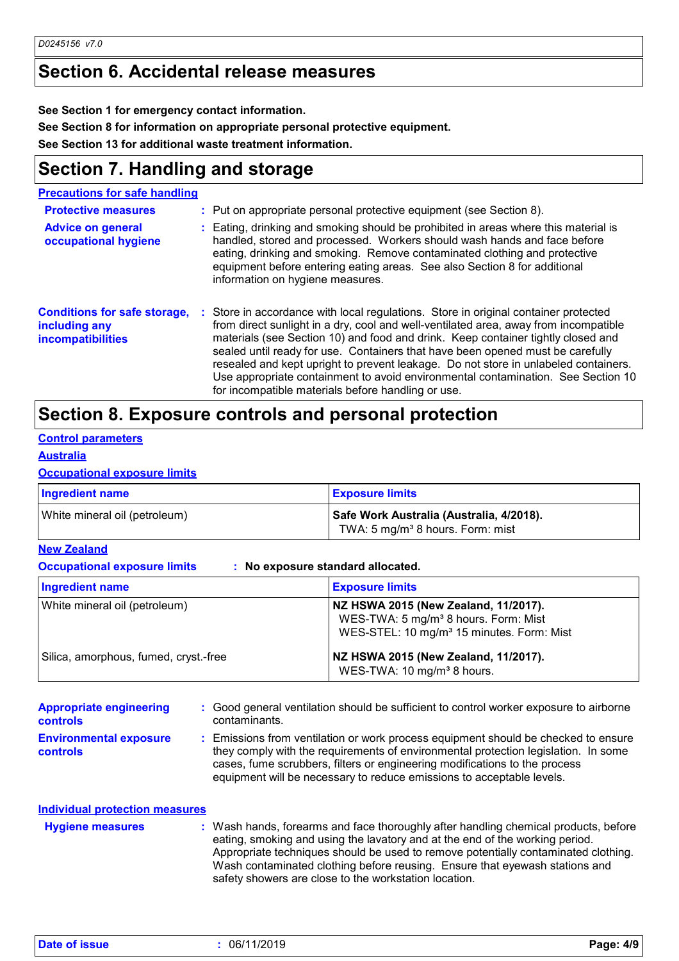### **Section 6. Accidental release measures**

**See Section 1 for emergency contact information.**

**See Section 8 for information on appropriate personal protective equipment.**

**See Section 13 for additional waste treatment information.**

### **Section 7. Handling and storage**

**Precautions for safe handling**

| <b>Protective measures</b><br><b>Advice on general</b><br>occupational hygiene   | : Put on appropriate personal protective equipment (see Section 8).<br>: Eating, drinking and smoking should be prohibited in areas where this material is<br>handled, stored and processed. Workers should wash hands and face before<br>eating, drinking and smoking. Remove contaminated clothing and protective<br>equipment before entering eating areas. See also Section 8 for additional<br>information on hygiene measures.                                                                                                                                               |
|----------------------------------------------------------------------------------|------------------------------------------------------------------------------------------------------------------------------------------------------------------------------------------------------------------------------------------------------------------------------------------------------------------------------------------------------------------------------------------------------------------------------------------------------------------------------------------------------------------------------------------------------------------------------------|
| <b>Conditions for safe storage,</b><br>including any<br><b>incompatibilities</b> | : Store in accordance with local regulations. Store in original container protected<br>from direct sunlight in a dry, cool and well-ventilated area, away from incompatible<br>materials (see Section 10) and food and drink. Keep container tightly closed and<br>sealed until ready for use. Containers that have been opened must be carefully<br>resealed and kept upright to prevent leakage. Do not store in unlabeled containers.<br>Use appropriate containment to avoid environmental contamination. See Section 10<br>for incompatible materials before handling or use. |

#### **Section 8. Exposure controls and personal protection**

#### **Control parameters**

#### **Australia**

#### **Occupational exposure limits**

| <b>Ingredient name</b>        | <b>Exposure limits</b>                                                                   |
|-------------------------------|------------------------------------------------------------------------------------------|
| White mineral oil (petroleum) | Safe Work Australia (Australia, 4/2018).<br>TWA: 5 mg/m <sup>3</sup> 8 hours. Form: mist |

#### **New Zealand**

**Occupational exposure limits : No exposure standard allocated.**

| <b>Ingredient name</b>                | <b>Exposure limits</b>                                                                                                                            |
|---------------------------------------|---------------------------------------------------------------------------------------------------------------------------------------------------|
| White mineral oil (petroleum)         | NZ HSWA 2015 (New Zealand, 11/2017).<br>WES-TWA: 5 mg/m <sup>3</sup> 8 hours. Form: Mist<br>WES-STEL: 10 mg/m <sup>3</sup> 15 minutes. Form: Mist |
| Silica, amorphous, fumed, cryst.-free | NZ HSWA 2015 (New Zealand, 11/2017).<br>WES-TWA: 10 mg/m <sup>3</sup> 8 hours.                                                                    |

**Environmental exposure controls :** Emissions from ventilation or work process equipment should be checked to ensure they comply with the requirements of environmental protection legislation. In some cases, fume scrubbers, filters or engineering modifications to the process equipment will be necessary to reduce emissions to acceptable levels. **Appropriate engineering controls :** Good general ventilation should be sufficient to control worker exposure to airborne contaminants.

| <b>Individual protection measures</b> |                                                                                                                                                                                                                                                                                                                                                                                                   |
|---------------------------------------|---------------------------------------------------------------------------------------------------------------------------------------------------------------------------------------------------------------------------------------------------------------------------------------------------------------------------------------------------------------------------------------------------|
| <b>Hygiene measures</b>               | : Wash hands, forearms and face thoroughly after handling chemical products, before<br>eating, smoking and using the lavatory and at the end of the working period.<br>Appropriate techniques should be used to remove potentially contaminated clothing.<br>Wash contaminated clothing before reusing. Ensure that eyewash stations and<br>safety showers are close to the workstation location. |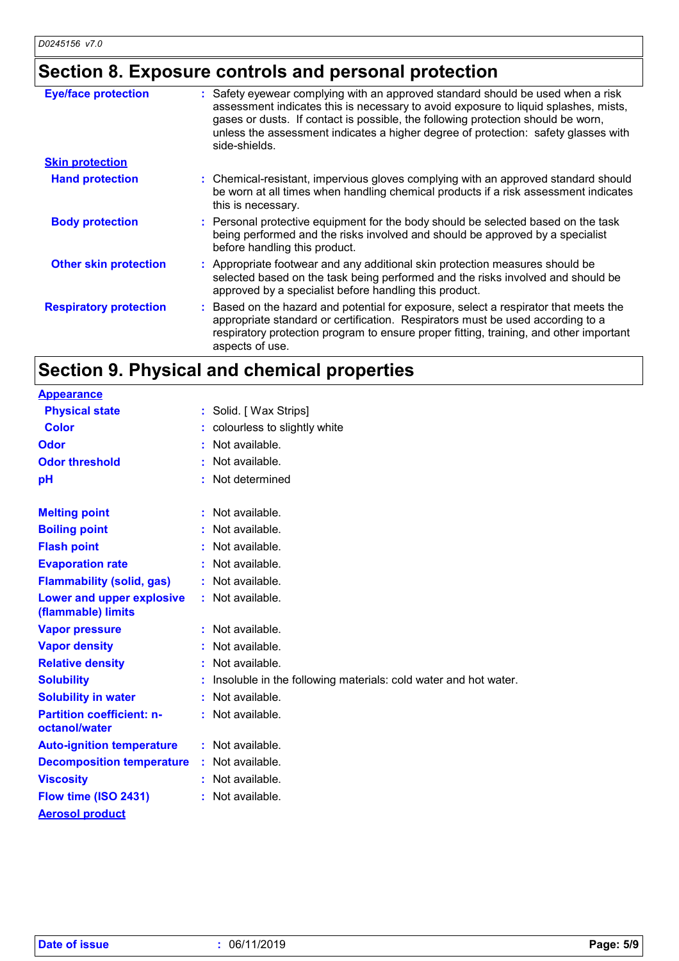### **Section 8. Exposure controls and personal protection**

| <b>Eye/face protection</b>    | : Safety eyewear complying with an approved standard should be used when a risk<br>assessment indicates this is necessary to avoid exposure to liquid splashes, mists,<br>gases or dusts. If contact is possible, the following protection should be worn,<br>unless the assessment indicates a higher degree of protection: safety glasses with<br>side-shields. |
|-------------------------------|-------------------------------------------------------------------------------------------------------------------------------------------------------------------------------------------------------------------------------------------------------------------------------------------------------------------------------------------------------------------|
| <b>Skin protection</b>        |                                                                                                                                                                                                                                                                                                                                                                   |
| <b>Hand protection</b>        | : Chemical-resistant, impervious gloves complying with an approved standard should<br>be worn at all times when handling chemical products if a risk assessment indicates<br>this is necessary.                                                                                                                                                                   |
| <b>Body protection</b>        | : Personal protective equipment for the body should be selected based on the task<br>being performed and the risks involved and should be approved by a specialist<br>before handling this product.                                                                                                                                                               |
| <b>Other skin protection</b>  | : Appropriate footwear and any additional skin protection measures should be<br>selected based on the task being performed and the risks involved and should be<br>approved by a specialist before handling this product.                                                                                                                                         |
| <b>Respiratory protection</b> | : Based on the hazard and potential for exposure, select a respirator that meets the<br>appropriate standard or certification. Respirators must be used according to a<br>respiratory protection program to ensure proper fitting, training, and other important<br>aspects of use.                                                                               |

### **Section 9. Physical and chemical properties**

| <b>Appearance</b>                                 |                                                                 |
|---------------------------------------------------|-----------------------------------------------------------------|
| <b>Physical state</b>                             | : Solid. [ Wax Strips]                                          |
| <b>Color</b>                                      | colourless to slightly white                                    |
| Odor                                              | Not available.                                                  |
| <b>Odor threshold</b>                             | Not available.                                                  |
| pH                                                | : Not determined                                                |
|                                                   |                                                                 |
| <b>Melting point</b>                              | : Not available.                                                |
| <b>Boiling point</b>                              | Not available.                                                  |
| <b>Flash point</b>                                | : Not available.                                                |
| <b>Evaporation rate</b>                           | : Not available.                                                |
| <b>Flammability (solid, gas)</b>                  | : Not available.                                                |
| Lower and upper explosive                         | : Not available.                                                |
| (flammable) limits                                |                                                                 |
| <b>Vapor pressure</b>                             | $:$ Not available.                                              |
| <b>Vapor density</b>                              | Not available.                                                  |
| <b>Relative density</b>                           | : Not available.                                                |
| <b>Solubility</b>                                 | Insoluble in the following materials: cold water and hot water. |
| <b>Solubility in water</b>                        | : Not available.                                                |
| <b>Partition coefficient: n-</b><br>octanol/water | : Not available.                                                |
| <b>Auto-ignition temperature</b>                  | : Not available.                                                |
| <b>Decomposition temperature</b>                  | Not available.                                                  |
| <b>Viscosity</b>                                  | : Not available.                                                |
| Flow time (ISO 2431)                              | Not available.                                                  |
| <b>Aerosol product</b>                            |                                                                 |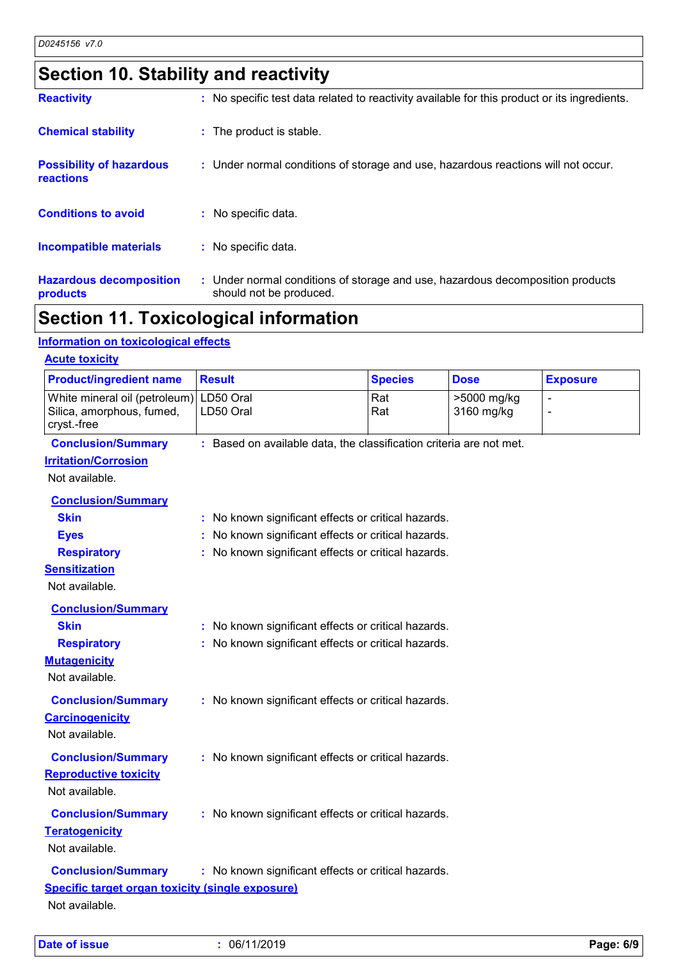## **Section 10. Stability and reactivity**

| <b>Reactivity</b>                            | : No specific test data related to reactivity available for this product or its ingredients.              |
|----------------------------------------------|-----------------------------------------------------------------------------------------------------------|
| <b>Chemical stability</b>                    | : The product is stable.                                                                                  |
| <b>Possibility of hazardous</b><br>reactions | : Under normal conditions of storage and use, hazardous reactions will not occur.                         |
| <b>Conditions to avoid</b>                   | : No specific data.                                                                                       |
| Incompatible materials                       | : No specific data.                                                                                       |
| <b>Hazardous decomposition</b><br>products   | : Under normal conditions of storage and use, hazardous decomposition products<br>should not be produced. |

### **Section 11. Toxicological information**

#### **Information on toxicological effects**

| White mineral oil (petroleum)<br>Silica, amorphous, fumed,<br>cryst.-free<br><b>Conclusion/Summary</b> | LD50 Oral<br>LD50 Oral                                              | Rat<br>Rat | >5000 mg/kg<br>3160 mg/kg | $\overline{a}$ |
|--------------------------------------------------------------------------------------------------------|---------------------------------------------------------------------|------------|---------------------------|----------------|
|                                                                                                        |                                                                     |            |                           | $\overline{a}$ |
| <b>Irritation/Corrosion</b>                                                                            | : Based on available data, the classification criteria are not met. |            |                           |                |
|                                                                                                        |                                                                     |            |                           |                |
| Not available.                                                                                         |                                                                     |            |                           |                |
| <b>Conclusion/Summary</b>                                                                              |                                                                     |            |                           |                |
| <b>Skin</b>                                                                                            | : No known significant effects or critical hazards.                 |            |                           |                |
| <b>Eyes</b>                                                                                            | : No known significant effects or critical hazards.                 |            |                           |                |
| <b>Respiratory</b>                                                                                     | : No known significant effects or critical hazards.                 |            |                           |                |
| <b>Sensitization</b>                                                                                   |                                                                     |            |                           |                |
| Not available.                                                                                         |                                                                     |            |                           |                |
| <b>Conclusion/Summary</b>                                                                              |                                                                     |            |                           |                |
| <b>Skin</b>                                                                                            | : No known significant effects or critical hazards.                 |            |                           |                |
| <b>Respiratory</b>                                                                                     | : No known significant effects or critical hazards.                 |            |                           |                |
| <b>Mutagenicity</b>                                                                                    |                                                                     |            |                           |                |
| Not available.                                                                                         |                                                                     |            |                           |                |
| <b>Conclusion/Summary</b>                                                                              | : No known significant effects or critical hazards.                 |            |                           |                |
| <b>Carcinogenicity</b>                                                                                 |                                                                     |            |                           |                |
| Not available.                                                                                         |                                                                     |            |                           |                |
| <b>Conclusion/Summary</b>                                                                              | : No known significant effects or critical hazards.                 |            |                           |                |
| <b>Reproductive toxicity</b>                                                                           |                                                                     |            |                           |                |
| Not available.                                                                                         |                                                                     |            |                           |                |
| <b>Conclusion/Summary</b>                                                                              | : No known significant effects or critical hazards.                 |            |                           |                |
| <b>Teratogenicity</b>                                                                                  |                                                                     |            |                           |                |
| Not available.                                                                                         |                                                                     |            |                           |                |
| <b>Conclusion/Summary</b>                                                                              | : No known significant effects or critical hazards.                 |            |                           |                |
| <b>Specific target organ toxicity (single exposure)</b>                                                |                                                                     |            |                           |                |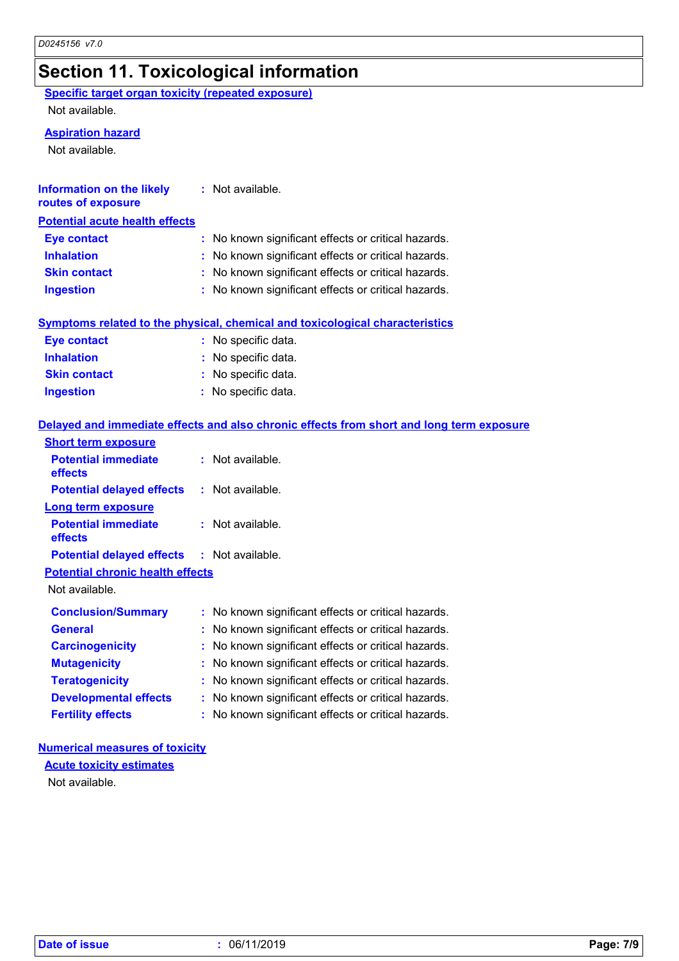### **Section 11. Toxicological information**

**Specific target organ toxicity (repeated exposure)**

Not available.

#### **Aspiration hazard**

Not available.

| <b>Information on the likely</b><br>routes of exposure | : Not available.                                    |
|--------------------------------------------------------|-----------------------------------------------------|
| <b>Potential acute health effects</b>                  |                                                     |
| <b>Eye contact</b>                                     | : No known significant effects or critical hazards. |
| <b>Inhalation</b>                                      | : No known significant effects or critical hazards. |
| <b>Skin contact</b>                                    | : No known significant effects or critical hazards. |
| <b>Ingestion</b>                                       | : No known significant effects or critical hazards. |
|                                                        |                                                     |

|  |  |  | <u>Symptoms related to the physical, chemical and toxicological characteristics </u> |
|--|--|--|--------------------------------------------------------------------------------------|
|  |  |  |                                                                                      |

| <b>Eye contact</b>  | : No specific data. |
|---------------------|---------------------|
| <b>Inhalation</b>   | : No specific data. |
| <b>Skin contact</b> | : No specific data. |
| <b>Ingestion</b>    | : No specific data. |

#### **Delayed and immediate effects and also chronic effects from short and long term exposure**

| <b>Short term exposure</b>                        |                                                     |
|---------------------------------------------------|-----------------------------------------------------|
| <b>Potential immediate</b><br>effects             | $:$ Not available.                                  |
| <b>Potential delayed effects</b>                  | $:$ Not available.                                  |
| <b>Long term exposure</b>                         |                                                     |
| <b>Potential immediate</b><br>effects             | $:$ Not available.                                  |
| <b>Potential delayed effects : Not available.</b> |                                                     |
| <b>Potential chronic health effects</b>           |                                                     |
| Not available.                                    |                                                     |
| <b>Conclusion/Summary</b>                         | : No known significant effects or critical hazards. |
| <b>General</b>                                    | No known significant effects or critical hazards.   |
| <b>Carcinogenicity</b>                            | No known significant effects or critical hazards.   |
| <b>Mutagenicity</b>                               | No known significant effects or critical hazards.   |
| <b>Teratogenicity</b>                             | No known significant effects or critical hazards.   |
| <b>Developmental effects</b>                      | No known significant effects or critical hazards.   |
| <b>Fertility effects</b>                          | No known significant effects or critical hazards.   |

#### **Numerical measures of toxicity**

**Acute toxicity estimates**

Not available.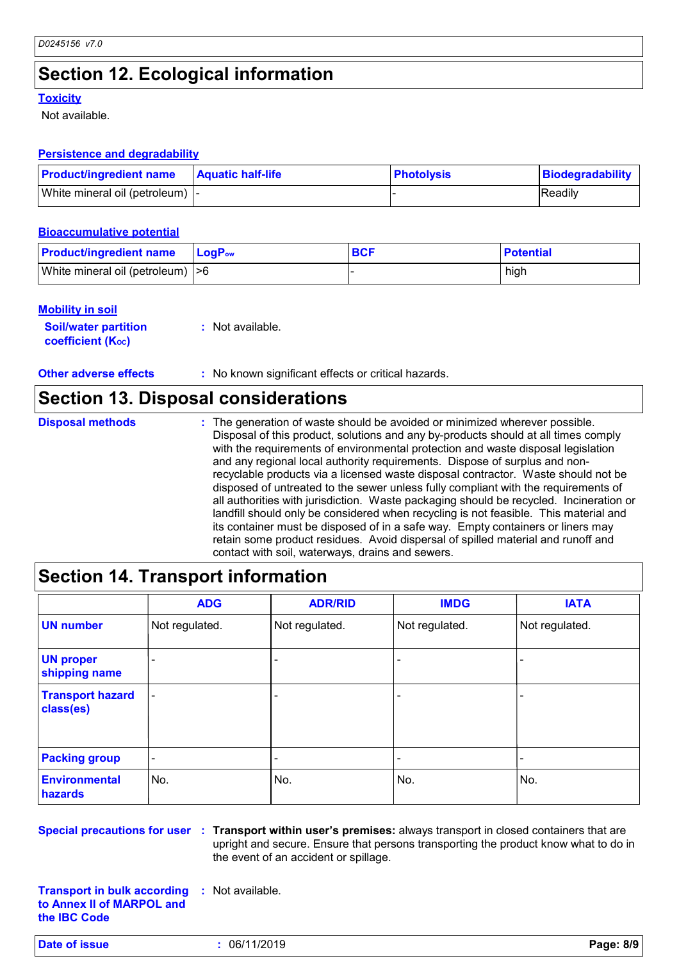### **Section 12. Ecological information**

#### **Toxicity**

Not available.

#### **Persistence and degradability**

| <b>Product/ingredient name</b>   | <b>Aquatic half-life</b> | <b>Photolysis</b> | Biodegradability |
|----------------------------------|--------------------------|-------------------|------------------|
| White mineral oil (petroleum)  - |                          |                   | <b>Readily</b>   |

#### **Bioaccumulative potential**

| <b>Product/ingredient name</b>    | $\blacksquare$ Log $\mathsf{P}_{\mathsf{ow}}$ | <b>BCF</b> | <b>Potential</b> |
|-----------------------------------|-----------------------------------------------|------------|------------------|
| White mineral oil (petroleum)  >6 |                                               |            | high             |

#### **Mobility in soil**

| <b>Soil/water partition</b> | : Not available. |
|-----------------------------|------------------|
| <b>coefficient (Koc)</b>    |                  |

**Other adverse effects** : No known significant effects or critical hazards.

#### **Section 13. Disposal considerations**

| <b>Disposal methods</b> | : The generation of waste should be avoided or minimized wherever possible.<br>Disposal of this product, solutions and any by-products should at all times comply<br>with the requirements of environmental protection and waste disposal legislation<br>and any regional local authority requirements. Dispose of surplus and non-<br>recyclable products via a licensed waste disposal contractor. Waste should not be<br>disposed of untreated to the sewer unless fully compliant with the requirements of<br>all authorities with jurisdiction. Waste packaging should be recycled. Incineration or<br>landfill should only be considered when recycling is not feasible. This material and<br>its container must be disposed of in a safe way. Empty containers or liners may<br>retain some product residues. Avoid dispersal of spilled material and runoff and |
|-------------------------|-------------------------------------------------------------------------------------------------------------------------------------------------------------------------------------------------------------------------------------------------------------------------------------------------------------------------------------------------------------------------------------------------------------------------------------------------------------------------------------------------------------------------------------------------------------------------------------------------------------------------------------------------------------------------------------------------------------------------------------------------------------------------------------------------------------------------------------------------------------------------|
|                         | contact with soil, waterways, drains and sewers.                                                                                                                                                                                                                                                                                                                                                                                                                                                                                                                                                                                                                                                                                                                                                                                                                        |

### **Section 14. Transport information**

|                                      | <b>ADG</b>     | <b>ADR/RID</b> | <b>IMDG</b>    | <b>IATA</b>    |
|--------------------------------------|----------------|----------------|----------------|----------------|
| <b>UN number</b>                     | Not regulated. | Not regulated. | Not regulated. | Not regulated. |
| <b>UN proper</b><br>shipping name    |                |                |                |                |
| <b>Transport hazard</b><br>class(es) | ٠              |                |                |                |
| <b>Packing group</b>                 | ٠              |                |                |                |
| <b>Environmental</b><br>hazards      | No.            | No.            | No.            | No.            |

**Special precautions for user Transport within user's premises:** always transport in closed containers that are **:** upright and secure. Ensure that persons transporting the product know what to do in the event of an accident or spillage.

**Transport in bulk according :** Not available. **to Annex II of MARPOL and the IBC Code**

**Date of issue :** 06/11/2019 **Page: 8/9**